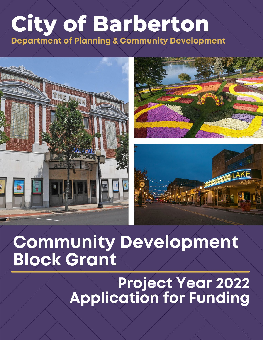# **City of Barberton**

**Department of Planning & Community Development** 







# **Community Development Block Grant**

**Project Year 2022<br>Application for Funding**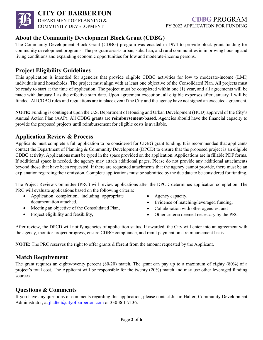

# **About the Community Development Block Grant (CDBG)**

The Community Development Block Grant (CDBG) program was enacted in 1974 to provide block grant funding for community development programs. The program assists urban, suburban, and rural communities in improving housing and living conditions and expanding economic opportunities for low and moderate-income persons.

# **Project Eligibility Guidelines**

This application is intended for agencies that provide eligible CDBG activities for low to moderate-income (LMI) individuals and households. The project must align with at least one objective of the Consolidated Plan. All projects must be ready to start at the time of application. The project must be completed within one (1) year, and all agreements will be made with January 1 as the effective start date. Upon agreement execution, all eligible expenses after January 1 will be funded. All CDBG rules and regulations are in place even if the City and the agency have not signed an executed agreement.

**NOTE:** Funding is contingent upon the U.S. Department of Housing and Urban Development (HUD) approval of the City's Annual Action Plan (AAP). All CDBG grants are **reimbursement-based**. Agencies should have the financial capacity to provide the proposed projects until reimbursement for eligible costs is available.

# **Application Review & Process**

Applicants must complete a full application to be considered for CDBG grant funding. It is recommended that applicants contact the Department of Planning & Community Development (DPCD) to ensure that the proposed project is an eligible CDBG activity. Applications must be typed in the space provided on the application. Applications are in fillable PDF forms. If additional space is needed, the agency may attach additional pages. Please do not provide any additional attachments beyond those that have been requested. If there are requested attachments that the agency cannot provide, there must be an explanation regarding their omission. Complete applications must be submitted by the due date to be considered for funding.

The Project Review Committee (PRC) will review applications after the DPCD determines application completion. The PRC will evaluate applications based on the following criteria:

- Application completion, including appropriate documentation attached,
- Meeting an objective of the Consolidated Plan,
- Project eligibility and feasibility,
- Agency capacity,
- Evidence of matching/leveraged funding,
- Collaboration with other agencies, and
- Other criteria deemed necessary by the PRC.

After review, the DPCD will notify agencies of application status. If awarded, the City will enter into an agreement with the agency, monitor project progress, ensure CDBG compliance, and remit payment on a reimbursement basis.

**NOTE:** The PRC reserves the right to offer grants different from the amount requested by the Applicant.

### **Match Requirement**

The grant requires an eighty/twenty percent (80/20) match. The grant can pay up to a maximum of eighty (80%) of a project's total cost. The Applicant will be responsible for the twenty (20%) match and may use other leveraged funding sources.

# **Questions & Comments**

If you have any questions or comments regarding this application, please contact Justin Halter, Community Development Administrator, a[t jhalter@cityofbarberton.com](mailto:jhalter@cityofbarberton.com) or 330-861-7136.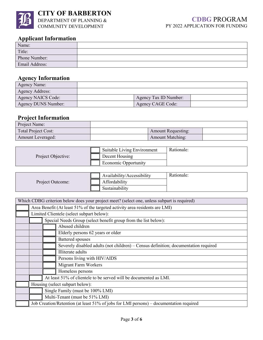

# **Applicant Information**

| --<br>Name:    |  |
|----------------|--|
| Title:         |  |
| Phone Number:  |  |
| Email Address: |  |

# **Agency Information**

| <b>Agency Name:</b> |                       |  |
|---------------------|-----------------------|--|
| Agency Address:     |                       |  |
| Agency NAICS Code:  | Agency Tax ID Number: |  |
| Agency DUNS Number: | Agency CAGE Code:     |  |

# **Project Information**

| Project Name:              |                           |  |
|----------------------------|---------------------------|--|
| <b>Total Project Cost:</b> | <b>Amount Requesting:</b> |  |
| Amount Leveraged:          | <b>Amount Matching:</b>   |  |

|                    |  | Suitable Living Environment | Rationale: |
|--------------------|--|-----------------------------|------------|
| Project Objective: |  | Decent Housing              |            |
|                    |  | Economic Opportunity        |            |

|                  | Availability/Accessibility | Rationale: |
|------------------|----------------------------|------------|
| Project Outcome: | Affordability              |            |
|                  | Sustainability             |            |

| Which CDBG criterion below does your project meet? (select one, unless subpart is required) |                                                                                        |  |  |  |
|---------------------------------------------------------------------------------------------|----------------------------------------------------------------------------------------|--|--|--|
| Area Benefit (At least 51% of the targeted activity area residents are LMI)                 |                                                                                        |  |  |  |
|                                                                                             | Limited Clientele (select subpart below):                                              |  |  |  |
|                                                                                             | Special Needs Group (select benefit group from the list below):                        |  |  |  |
|                                                                                             | Abused children                                                                        |  |  |  |
|                                                                                             | Elderly persons 62 years or older                                                      |  |  |  |
| <b>Battered</b> spouses                                                                     |                                                                                        |  |  |  |
| Severely disabled adults (not children) – Census definition; documentation required         |                                                                                        |  |  |  |
| Illiterate adults                                                                           |                                                                                        |  |  |  |
| Persons living with HIV/AIDS                                                                |                                                                                        |  |  |  |
|                                                                                             | <b>Migrant Farm Workers</b>                                                            |  |  |  |
| Homeless persons                                                                            |                                                                                        |  |  |  |
| At least 51% of clientele to be served will be documented as LMI.                           |                                                                                        |  |  |  |
| Housing (select subpart below):                                                             |                                                                                        |  |  |  |
| Single Family (must be 100% LMI)                                                            |                                                                                        |  |  |  |
| Multi-Tenant (must be 51% LMI)                                                              |                                                                                        |  |  |  |
|                                                                                             | Job Creation/Retention (at least 51% of jobs for LMI persons) – documentation required |  |  |  |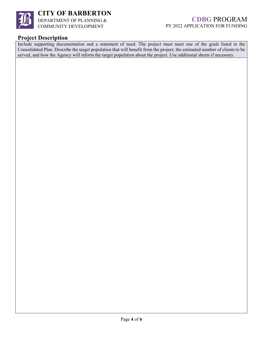

# **CITY OF BARBERTON** DEPARTMENT OF PLANNING &

COMMUNITY DEVELOPMENT

#### **Project Description**

Include supporting documentation and a statement of need. The project must meet one of the goals listed in the Consolidated Plan. Describe the target population that will benefit from the project, the estimated number of clients to be served, and how the Agency will inform the target population about the project. Use additional sheets if necessary.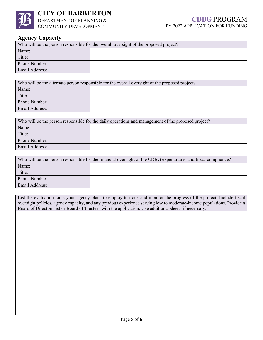

# **CITY OF BARBERTON** DEPARTMENT OF PLANNING & COMMUNITY DEVELOPMENT

# **Agency Capacity**

| Who will be the person responsible for the overall oversight of the proposed project? |  |  |  |
|---------------------------------------------------------------------------------------|--|--|--|
| Name:                                                                                 |  |  |  |
| Title:                                                                                |  |  |  |
| Phone Number:                                                                         |  |  |  |
| Email Address:                                                                        |  |  |  |
|                                                                                       |  |  |  |

| Who will be the alternate person responsible for the overall oversight of the proposed project? |  |  |  |
|-------------------------------------------------------------------------------------------------|--|--|--|
| Name:                                                                                           |  |  |  |
| Title:                                                                                          |  |  |  |
| Phone Number:                                                                                   |  |  |  |
| Email Address:                                                                                  |  |  |  |

| Who will be the person responsible for the daily operations and management of the proposed project? |  |  |  |
|-----------------------------------------------------------------------------------------------------|--|--|--|
| Name:                                                                                               |  |  |  |
| Title:                                                                                              |  |  |  |
| Phone Number:                                                                                       |  |  |  |
| Email Address:                                                                                      |  |  |  |

| Who will be the person responsible for the financial oversight of the CDBG expenditures and fiscal compliance? |  |  |  |
|----------------------------------------------------------------------------------------------------------------|--|--|--|
| Name:                                                                                                          |  |  |  |
| Title:                                                                                                         |  |  |  |
| Phone Number:                                                                                                  |  |  |  |
| Email Address:                                                                                                 |  |  |  |

List the evaluation tools your agency plans to employ to track and monitor the progress of the project. Include fiscal oversight policies, agency capacity, and any previous experience serving low to moderate-income populations. Provide a Board of Directors list or Board of Trustees with the application. Use additional sheets if necessary.